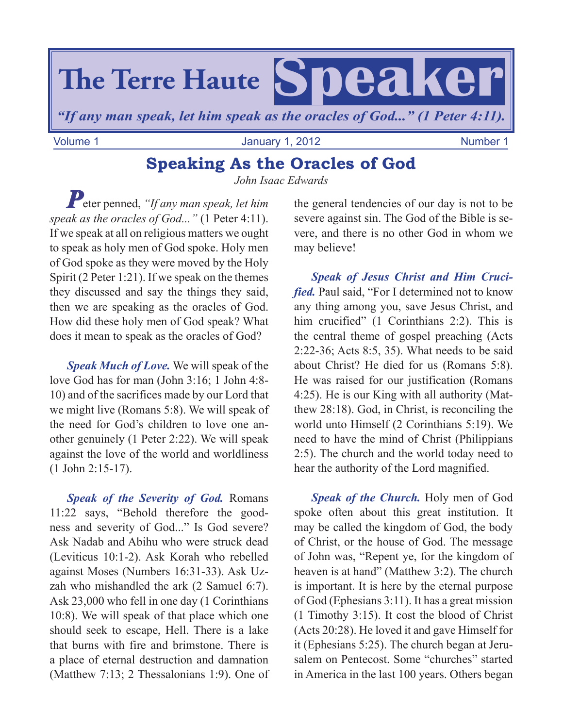

Volume 1 **Volume 1** January 1, 2012 **Number 1** January 1, 2012

## **Speaking As the Oracles of God**

*John Isaac Edwards*

*P*eter penned, *"If any man speak, let him speak as the oracles of God..."* (1 Peter 4:11). If we speak at all on religious matters we ought to speak as holy men of God spoke. Holy men of God spoke as they were moved by the Holy Spirit (2 Peter 1:21). If we speak on the themes they discussed and say the things they said, then we are speaking as the oracles of God. How did these holy men of God speak? What does it mean to speak as the oracles of God?

*Speak Much of Love.* We will speak of the love God has for man (John 3:16; 1 John 4:8- 10) and of the sacrifices made by our Lord that we might live (Romans 5:8). We will speak of the need for God's children to love one another genuinely (1 Peter 2:22). We will speak against the love of the world and worldliness (1 John 2:15-17).

*Speak of the Severity of God.* Romans 11:22 says, "Behold therefore the goodness and severity of God..." Is God severe? Ask Nadab and Abihu who were struck dead (Leviticus 10:1-2). Ask Korah who rebelled against Moses (Numbers 16:31-33). Ask Uzzah who mishandled the ark (2 Samuel 6:7). Ask 23,000 who fell in one day (1 Corinthians 10:8). We will speak of that place which one should seek to escape, Hell. There is a lake that burns with fire and brimstone. There is a place of eternal destruction and damnation (Matthew 7:13; 2 Thessalonians 1:9). One of

the general tendencies of our day is not to be severe against sin. The God of the Bible is severe, and there is no other God in whom we may believe!

*Speak of Jesus Christ and Him Crucified.* Paul said, "For I determined not to know any thing among you, save Jesus Christ, and him crucified" (1 Corinthians 2:2). This is the central theme of gospel preaching (Acts 2:22-36; Acts 8:5, 35). What needs to be said about Christ? He died for us (Romans 5:8). He was raised for our justification (Romans 4:25). He is our King with all authority (Matthew 28:18). God, in Christ, is reconciling the world unto Himself (2 Corinthians 5:19). We need to have the mind of Christ (Philippians 2:5). The church and the world today need to hear the authority of the Lord magnified.

*Speak of the Church.* Holy men of God spoke often about this great institution. It may be called the kingdom of God, the body of Christ, or the house of God. The message of John was, "Repent ye, for the kingdom of heaven is at hand" (Matthew 3:2). The church is important. It is here by the eternal purpose of God (Ephesians 3:11). It has a great mission (1 Timothy 3:15). It cost the blood of Christ (Acts 20:28). He loved it and gave Himself for it (Ephesians 5:25). The church began at Jerusalem on Pentecost. Some "churches" started in America in the last 100 years. Others began